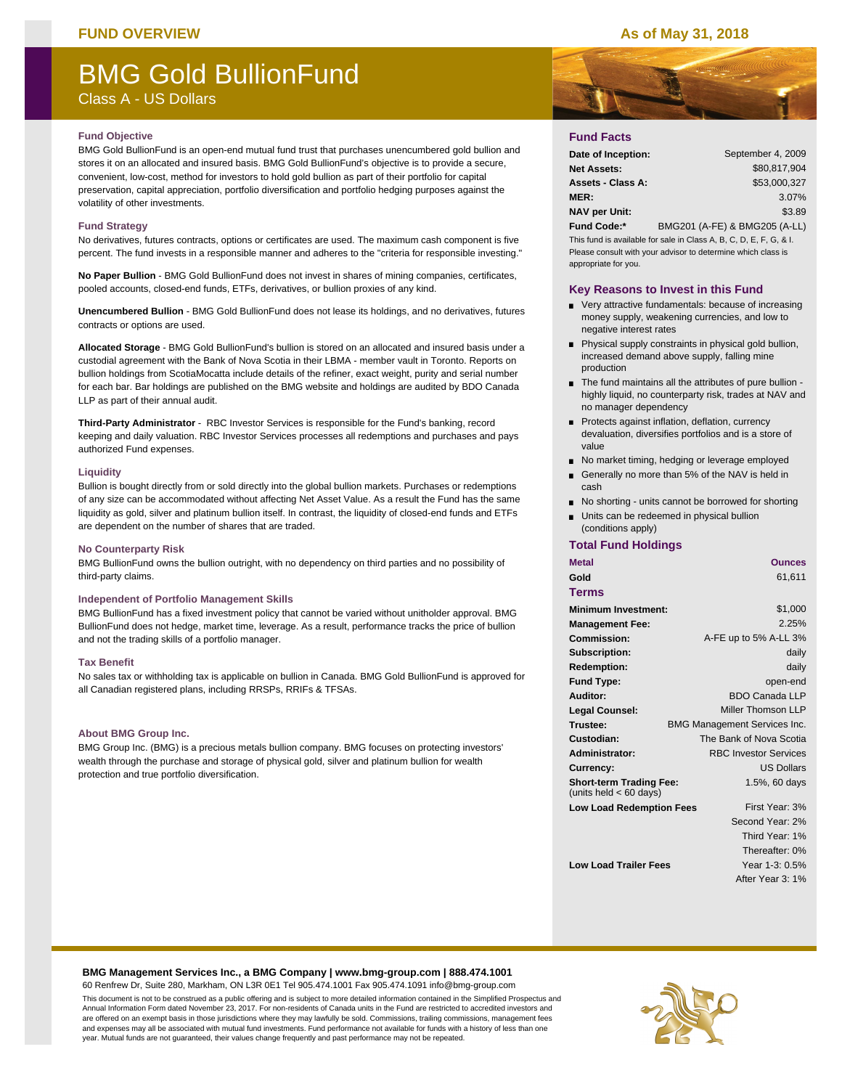## **FUND OVERVIEW As of May 31, 2018**

# BMG Gold BullionFund

Class A - US Dollars

#### **Fund Objective**

BMG Gold BullionFund is an open-end mutual fund trust that purchases unencumbered gold bullion and stores it on an allocated and insured basis. BMG Gold BullionFund's objective is to provide a secure, convenient, low-cost, method for investors to hold gold bullion as part of their portfolio for capital preservation, capital appreciation, portfolio diversification and portfolio hedging purposes against the volatility of other investments.

#### **Fund Strategy**

No derivatives, futures contracts, options or certificates are used. The maximum cash component is five percent. The fund invests in a responsible manner and adheres to the "criteria for responsible investing."

**No Paper Bullion** - BMG Gold BullionFund does not invest in shares of mining companies, certificates, pooled accounts, closed-end funds, ETFs, derivatives, or bullion proxies of any kind.

**Unencumbered Bullion** - BMG Gold BullionFund does not lease its holdings, and no derivatives, futures contracts or options are used.

**Allocated Storage** - BMG Gold BullionFund's bullion is stored on an allocated and insured basis under a custodial agreement with the Bank of Nova Scotia in their LBMA - member vault in Toronto. Reports on bullion holdings from ScotiaMocatta include details of the refiner, exact weight, purity and serial number for each bar. Bar holdings are published on the BMG website and holdings are audited by BDO Canada LLP as part of their annual audit.

**Third-Party Administrator** - RBC Investor Services is responsible for the Fund's banking, record keeping and daily valuation. RBC Investor Services processes all redemptions and purchases and pays authorized Fund expenses.

#### **Liquidity**

Bullion is bought directly from or sold directly into the global bullion markets. Purchases or redemptions of any size can be accommodated without affecting Net Asset Value. As a result the Fund has the same liquidity as gold, silver and platinum bullion itself. In contrast, the liquidity of closed-end funds and ETFs are dependent on the number of shares that are traded.

#### **No Counterparty Risk**

BMG BullionFund owns the bullion outright, with no dependency on third parties and no possibility of third-party claims.

#### **Independent of Portfolio Management Skills**

BMG BullionFund has a fixed investment policy that cannot be varied without unitholder approval. BMG BullionFund does not hedge, market time, leverage. As a result, performance tracks the price of bullion and not the trading skills of a portfolio manager.

#### **Tax Benefit**

No sales tax or withholding tax is applicable on bullion in Canada. BMG Gold BullionFund is approved for all Canadian registered plans, including RRSPs, RRIFs & TFSAs.

#### **About BMG Group Inc.**

BMG Group Inc. (BMG) is a precious metals bullion company. BMG focuses on protecting investors' wealth through the purchase and storage of physical gold, silver and platinum bullion for wealth protection and true portfolio diversification.



## **Fund Facts**

| Date of Inception:   | September 4, 2009             |
|----------------------|-------------------------------|
| <b>Net Assets:</b>   | \$80.817.904                  |
| Assets - Class A:    | \$53,000.327                  |
| <b>MER:</b>          | 3.07%                         |
| <b>NAV per Unit:</b> | \$3.89                        |
| <b>Fund Code:*</b>   | BMG201 (A-FE) & BMG205 (A-LL) |

This fund is available for sale in Class A, B, C, D, E, F, G, & I. Please consult with your advisor to determine which class is appropriate for you.

#### **Key Reasons to Invest in this Fund**

- Very attractive fundamentals: because of increasing money supply, weakening currencies, and low to negative interest rates
- **Physical supply constraints in physical gold bullion,** increased demand above supply, falling mine production
- The fund maintains all the attributes of pure bullion highly liquid, no counterparty risk, trades at NAV and no manager dependency
- Protects against inflation, deflation, currency devaluation, diversifies portfolios and is a store of value
- No market timing, hedging or leverage employed
- Generally no more than 5% of the NAV is held in cash
- No shorting units cannot be borrowed for shorting
- **Units can be redeemed in physical bullion** (conditions apply)

### **Total Fund Holdings**

| <b>Metal</b>                                               | <b>Ounces</b>                       |
|------------------------------------------------------------|-------------------------------------|
| Gold                                                       | 61,611                              |
| Terms                                                      |                                     |
| Minimum Investment:                                        | \$1,000                             |
| <b>Management Fee:</b>                                     | 2.25%                               |
| Commission:                                                | A-FE up to 5% A-LL 3%               |
| Subscription:                                              | daily                               |
| <b>Redemption:</b>                                         | daily                               |
| <b>Fund Type:</b>                                          | open-end                            |
| Auditor:                                                   | <b>BDO Canada LLP</b>               |
| <b>Legal Counsel:</b>                                      | Miller Thomson LLP                  |
| Trustee:                                                   | <b>BMG Management Services Inc.</b> |
| Custodian:                                                 | The Bank of Nova Scotia             |
| Administrator:                                             | <b>RBC Investor Services</b>        |
| Currency:                                                  | <b>US Dollars</b>                   |
| <b>Short-term Trading Fee:</b><br>(units held $< 60$ days) | 1.5%, 60 days                       |
| <b>Low Load Redemption Fees</b>                            | First Year: 3%                      |
|                                                            | Second Year: 2%                     |
|                                                            | Third Year: 1%                      |
|                                                            | Thereafter: 0%                      |
| <b>Low Load Trailer Fees</b>                               | Year 1-3: 0.5%                      |
|                                                            | After Year 3: 1%                    |

#### **BMG Management Services Inc., a BMG Company | www.bmg-group.com | 888.474.1001**

60 Renfrew Dr, Suite 280, Markham, ON L3R 0E1 Tel 905.474.1001 Fax 905.474.1091 info@bmg-group.com This document is not to be construed as a public offering and is subject to more detailed information contained in the Simplified Prospectus and Annual Information Form dated November 23, 2017. For non-residents of Canada units in the Fund are restricted to accredited investors and are offered on an exempt basis in those jurisdictions where they may lawfully be sold. Commissions, trailing commissions, management fees and expenses may all be associated with mutual fund investments. Fund performance not available for funds with a history of less than one year. Mutual funds are not guaranteed, their values change frequently and past performance may not be repeated.